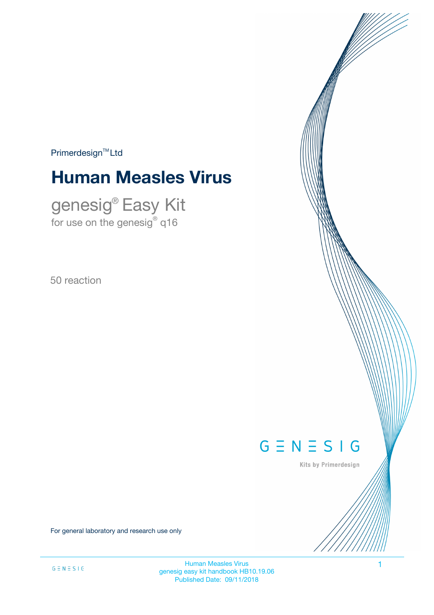$Primerdesign<sup>™</sup>Ltd$ 

# **Human Measles Virus**

genesig® Easy Kit for use on the genesig $^\circ$  q16

50 reaction



Kits by Primerdesign

For general laboratory and research use only

Human Measles Virus 1 genesig easy kit handbook HB10.19.06 Published Date: 09/11/2018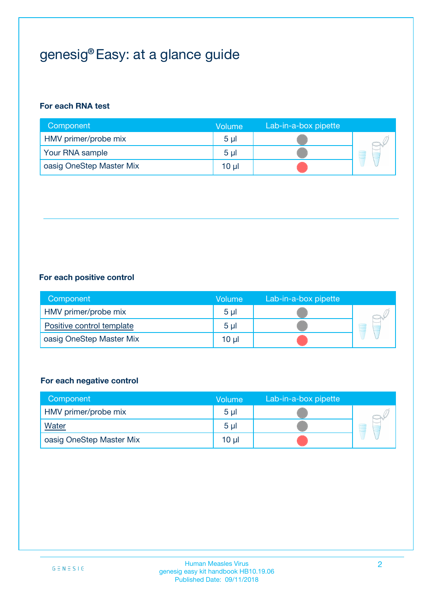# genesig® Easy: at a glance guide

#### **For each RNA test**

| Component                | <b>Volume</b>  | Lab-in-a-box pipette |  |
|--------------------------|----------------|----------------------|--|
| HMV primer/probe mix     | 5 <sub>µ</sub> |                      |  |
| Your RNA sample          | 5 <sub>µ</sub> |                      |  |
| oasig OneStep Master Mix | 10 µl          |                      |  |

#### **For each positive control**

| Component                 | Volume         | Lab-in-a-box pipette |  |
|---------------------------|----------------|----------------------|--|
| HMV primer/probe mix      | 5 <sub>µ</sub> |                      |  |
| Positive control template | 5 <sub>µ</sub> |                      |  |
| oasig OneStep Master Mix  | 10 µl          |                      |  |

#### **For each negative control**

| Component                | <b>Volume</b>  | Lab-in-a-box pipette |   |
|--------------------------|----------------|----------------------|---|
| HMV primer/probe mix     | 5 <sub>µ</sub> |                      |   |
| <b>Water</b>             | 5 <sub>µ</sub> |                      | Ē |
| oasig OneStep Master Mix | 10 µl          |                      |   |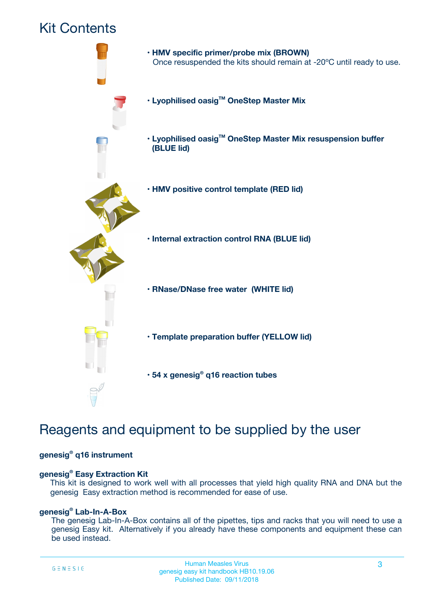## Kit Contents



## Reagents and equipment to be supplied by the user

#### **genesig® q16 instrument**

#### **genesig® Easy Extraction Kit**

This kit is designed to work well with all processes that yield high quality RNA and DNA but the genesig Easy extraction method is recommended for ease of use.

#### **genesig® Lab-In-A-Box**

The genesig Lab-In-A-Box contains all of the pipettes, tips and racks that you will need to use a genesig Easy kit. Alternatively if you already have these components and equipment these can be used instead.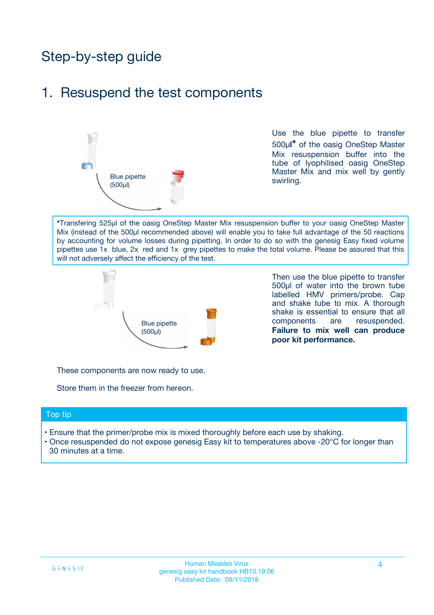## Step-by-step guide

### 1. Resuspend the test components



Use the blue pipette to transfer 500µ**l\*** of the oasig OneStep Master Mix resuspension buffer into the tube of lyophilised oasig OneStep Master Mix and mix well by gently swirling.

**\***Transfering 525µl of the oasig OneStep Master Mix resuspension buffer to your oasig OneStep Master Mix (instead of the 500µl recommended above) will enable you to take full advantage of the 50 reactions by accounting for volume losses during pipetting. In order to do so with the genesig Easy fixed volume pipettes use 1x blue, 2x red and 1x grey pipettes to make the total volume. Please be assured that this will not adversely affect the efficiency of the test.



Then use the blue pipette to transfer 500µl of water into the brown tube labelled HMV primers/probe. Cap and shake tube to mix. A thorough shake is essential to ensure that all components are resuspended. **Failure to mix well can produce poor kit performance.**

These components are now ready to use.

Store them in the freezer from hereon.

#### Top tip

- Ensure that the primer/probe mix is mixed thoroughly before each use by shaking.
- Once resuspended do not expose genesig Easy kit to temperatures above -20°C for longer than 30 minutes at a time.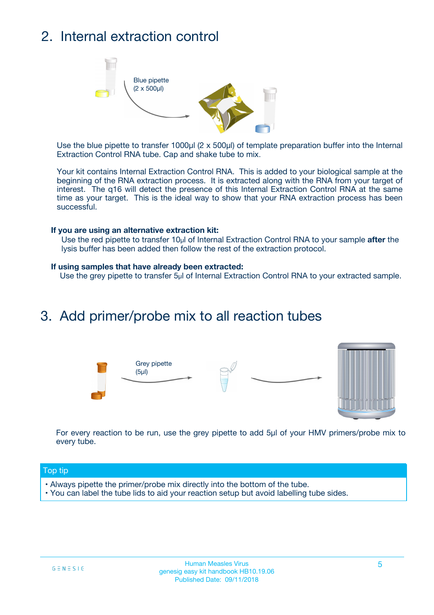## 2. Internal extraction control



Use the blue pipette to transfer 1000µl (2 x 500µl) of template preparation buffer into the Internal Extraction Control RNA tube. Cap and shake tube to mix.

Your kit contains Internal Extraction Control RNA. This is added to your biological sample at the beginning of the RNA extraction process. It is extracted along with the RNA from your target of interest. The q16 will detect the presence of this Internal Extraction Control RNA at the same time as your target. This is the ideal way to show that your RNA extraction process has been successful.

#### **If you are using an alternative extraction kit:**

Use the red pipette to transfer 10µl of Internal Extraction Control RNA to your sample **after** the lysis buffer has been added then follow the rest of the extraction protocol.

#### **If using samples that have already been extracted:**

Use the grey pipette to transfer 5µl of Internal Extraction Control RNA to your extracted sample.

### 3. Add primer/probe mix to all reaction tubes





For every reaction to be run, use the grey pipette to add 5µl of your HMV primers/probe mix to every tube.

#### Top tip

- Always pipette the primer/probe mix directly into the bottom of the tube.
- You can label the tube lids to aid your reaction setup but avoid labelling tube sides.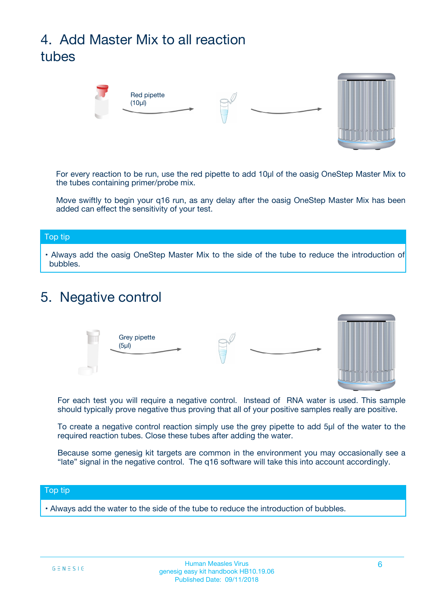# 4. Add Master Mix to all reaction tubes



For every reaction to be run, use the red pipette to add 10µl of the oasig OneStep Master Mix to the tubes containing primer/probe mix.

Move swiftly to begin your q16 run, as any delay after the oasig OneStep Master Mix has been added can effect the sensitivity of your test.

#### Top tip

**•** Always add the oasig OneStep Master Mix to the side of the tube to reduce the introduction of bubbles.

### 5. Negative control



For each test you will require a negative control. Instead of RNA water is used. This sample should typically prove negative thus proving that all of your positive samples really are positive.

To create a negative control reaction simply use the grey pipette to add 5µl of the water to the required reaction tubes. Close these tubes after adding the water.

Because some genesig kit targets are common in the environment you may occasionally see a "late" signal in the negative control. The q16 software will take this into account accordingly.

#### Top tip

**•** Always add the water to the side of the tube to reduce the introduction of bubbles.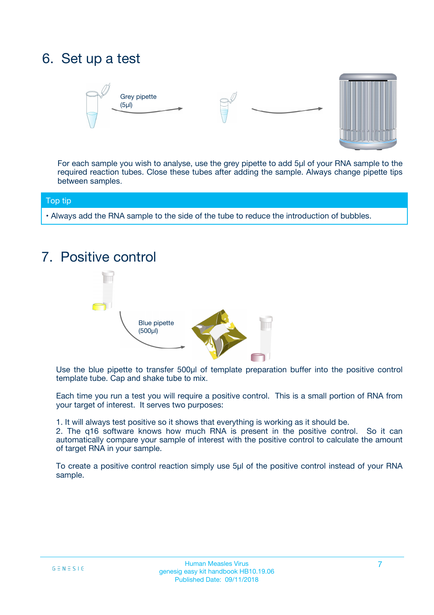## 6. Set up a test





For each sample you wish to analyse, use the grey pipette to add 5µl of your RNA sample to the required reaction tubes. Close these tubes after adding the sample. Always change pipette tips between samples.

#### Top tip

**•** Always add the RNA sample to the side of the tube to reduce the introduction of bubbles.

## 7. Positive control



Use the blue pipette to transfer 500µl of template preparation buffer into the positive control template tube. Cap and shake tube to mix.

Each time you run a test you will require a positive control. This is a small portion of RNA from your target of interest. It serves two purposes:

1. It will always test positive so it shows that everything is working as it should be.

2. The q16 software knows how much RNA is present in the positive control. So it can automatically compare your sample of interest with the positive control to calculate the amount of target RNA in your sample.

To create a positive control reaction simply use 5µl of the positive control instead of your RNA sample.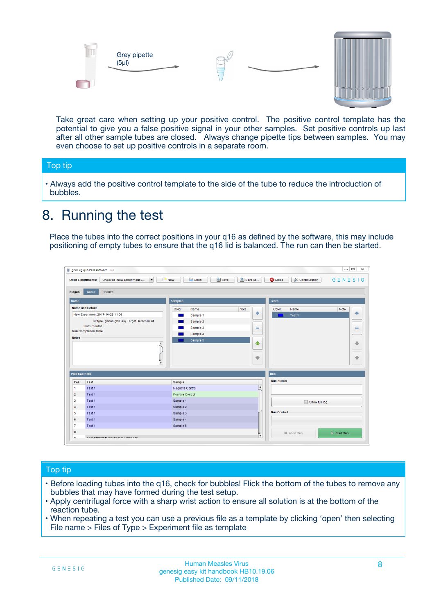



Take great care when setting up your positive control. The positive control template has the potential to give you a false positive signal in your other samples. Set positive controls up last after all other sample tubes are closed. Always change pipette tips between samples. You may even choose to set up positive controls in a separate room.

#### Top tip

**•** Always add the positive control template to the side of the tube to reduce the introduction of bubbles.

## 8. Running the test

Place the tubes into the correct positions in your q16 as defined by the software, this may include positioning of empty tubes to ensure that the q16 lid is balanced. The run can then be started.

|                         | genesig q16 PCR software - 1.2<br><b>Open Experiments:</b><br>Unsaved (New Experiment 2<br>$\blacktriangledown$                                                                                      | <b>E</b> Open<br>Save<br>$\sqrt{2}$ New                                   | $\Box$<br>Save As<br>$G \equiv N \equiv S \mid G$<br><b>B</b> Close<br><b>X</b> Configuration                    |
|-------------------------|------------------------------------------------------------------------------------------------------------------------------------------------------------------------------------------------------|---------------------------------------------------------------------------|------------------------------------------------------------------------------------------------------------------|
| Stages:<br><b>Notes</b> | Setup<br><b>Results</b>                                                                                                                                                                              | <b>Samples</b>                                                            |                                                                                                                  |
| <b>Notes</b>            | <b>Name and Details</b><br>New Experiment 2017-10-26 11:06<br>Kit type: genesig® Easy Target Detection kit<br>Instrument Id.:<br>Run Completion Time:<br>$\blacktriangle$<br>$\overline{\mathbf{v}}$ | Color<br>Name<br>Sample 1<br>Sample 2<br>Sample 3<br>Sample 4<br>Sample 5 | <b>Tests</b><br>Note<br>Color<br>Note<br>Name<br>على<br>4<br>Test 1<br>$\equiv$<br>$\equiv$<br>一个<br>借<br>÷<br>⊕ |
| <b>Well Contents</b>    |                                                                                                                                                                                                      |                                                                           | Run                                                                                                              |
| Pos.                    | Test                                                                                                                                                                                                 | Sample                                                                    | <b>Run Status</b>                                                                                                |
| $\blacktriangleleft$    | Test 1                                                                                                                                                                                               | Negative Control                                                          | $\blacktriangle$                                                                                                 |
| $\overline{2}$          | Test 1                                                                                                                                                                                               | Positive Control                                                          |                                                                                                                  |
| 3                       | Test 1                                                                                                                                                                                               | Sample 1                                                                  | Show full log                                                                                                    |
| $\overline{4}$          | Test 1                                                                                                                                                                                               | Sample 2                                                                  |                                                                                                                  |
| 5                       | Test 1                                                                                                                                                                                               | Sample 3                                                                  | <b>Run Control</b>                                                                                               |
| 6                       | Test <sub>1</sub>                                                                                                                                                                                    | Sample 4                                                                  |                                                                                                                  |
| $\overline{7}$          | Test 1                                                                                                                                                                                               | Sample 5                                                                  |                                                                                                                  |
| 8                       |                                                                                                                                                                                                      |                                                                           | $\triangleright$ Start Run<br>■ Abort Run                                                                        |
|                         |                                                                                                                                                                                                      |                                                                           | $\overline{\mathbf{v}}$                                                                                          |

#### Top tip

- Before loading tubes into the q16, check for bubbles! Flick the bottom of the tubes to remove any bubbles that may have formed during the test setup.
- Apply centrifugal force with a sharp wrist action to ensure all solution is at the bottom of the reaction tube.
- When repeating a test you can use a previous file as a template by clicking 'open' then selecting File name > Files of Type > Experiment file as template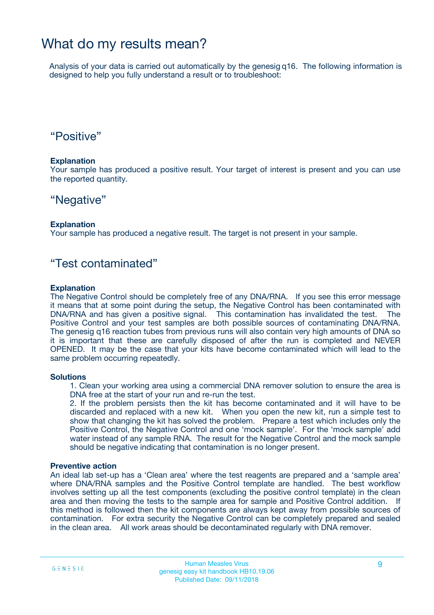### What do my results mean?

Analysis of your data is carried out automatically by the genesig q16. The following information is designed to help you fully understand a result or to troubleshoot:

### "Positive"

#### **Explanation**

Your sample has produced a positive result. Your target of interest is present and you can use the reported quantity.

### "Negative"

#### **Explanation**

Your sample has produced a negative result. The target is not present in your sample.

### "Test contaminated"

#### **Explanation**

The Negative Control should be completely free of any DNA/RNA. If you see this error message it means that at some point during the setup, the Negative Control has been contaminated with DNA/RNA and has given a positive signal. This contamination has invalidated the test. The Positive Control and your test samples are both possible sources of contaminating DNA/RNA. The genesig q16 reaction tubes from previous runs will also contain very high amounts of DNA so it is important that these are carefully disposed of after the run is completed and NEVER OPENED. It may be the case that your kits have become contaminated which will lead to the same problem occurring repeatedly.

#### **Solutions**

1. Clean your working area using a commercial DNA remover solution to ensure the area is DNA free at the start of your run and re-run the test.

2. If the problem persists then the kit has become contaminated and it will have to be discarded and replaced with a new kit. When you open the new kit, run a simple test to show that changing the kit has solved the problem. Prepare a test which includes only the Positive Control, the Negative Control and one 'mock sample'. For the 'mock sample' add water instead of any sample RNA. The result for the Negative Control and the mock sample should be negative indicating that contamination is no longer present.

#### **Preventive action**

An ideal lab set-up has a 'Clean area' where the test reagents are prepared and a 'sample area' where DNA/RNA samples and the Positive Control template are handled. The best workflow involves setting up all the test components (excluding the positive control template) in the clean area and then moving the tests to the sample area for sample and Positive Control addition. If this method is followed then the kit components are always kept away from possible sources of contamination. For extra security the Negative Control can be completely prepared and sealed in the clean area. All work areas should be decontaminated regularly with DNA remover.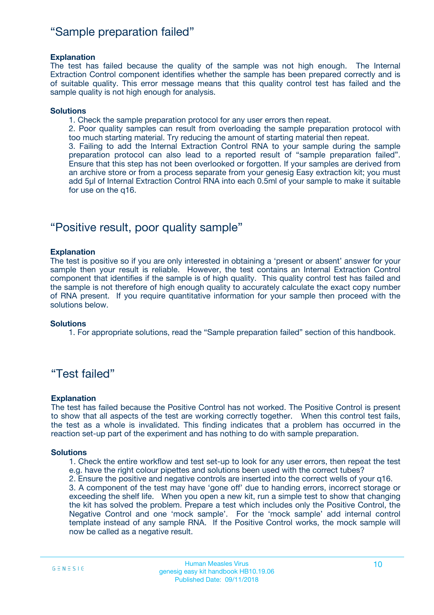### "Sample preparation failed"

#### **Explanation**

The test has failed because the quality of the sample was not high enough. The Internal Extraction Control component identifies whether the sample has been prepared correctly and is of suitable quality. This error message means that this quality control test has failed and the sample quality is not high enough for analysis.

#### **Solutions**

1. Check the sample preparation protocol for any user errors then repeat.

2. Poor quality samples can result from overloading the sample preparation protocol with too much starting material. Try reducing the amount of starting material then repeat.

3. Failing to add the Internal Extraction Control RNA to your sample during the sample preparation protocol can also lead to a reported result of "sample preparation failed". Ensure that this step has not been overlooked or forgotten. If your samples are derived from an archive store or from a process separate from your genesig Easy extraction kit; you must add 5µl of Internal Extraction Control RNA into each 0.5ml of your sample to make it suitable for use on the q16.

### "Positive result, poor quality sample"

#### **Explanation**

The test is positive so if you are only interested in obtaining a 'present or absent' answer for your sample then your result is reliable. However, the test contains an Internal Extraction Control component that identifies if the sample is of high quality. This quality control test has failed and the sample is not therefore of high enough quality to accurately calculate the exact copy number of RNA present. If you require quantitative information for your sample then proceed with the solutions below.

#### **Solutions**

1. For appropriate solutions, read the "Sample preparation failed" section of this handbook.

### "Test failed"

#### **Explanation**

The test has failed because the Positive Control has not worked. The Positive Control is present to show that all aspects of the test are working correctly together. When this control test fails, the test as a whole is invalidated. This finding indicates that a problem has occurred in the reaction set-up part of the experiment and has nothing to do with sample preparation.

#### **Solutions**

- 1. Check the entire workflow and test set-up to look for any user errors, then repeat the test e.g. have the right colour pipettes and solutions been used with the correct tubes?
- 2. Ensure the positive and negative controls are inserted into the correct wells of your q16.

3. A component of the test may have 'gone off' due to handing errors, incorrect storage or exceeding the shelf life. When you open a new kit, run a simple test to show that changing the kit has solved the problem. Prepare a test which includes only the Positive Control, the Negative Control and one 'mock sample'. For the 'mock sample' add internal control template instead of any sample RNA. If the Positive Control works, the mock sample will now be called as a negative result.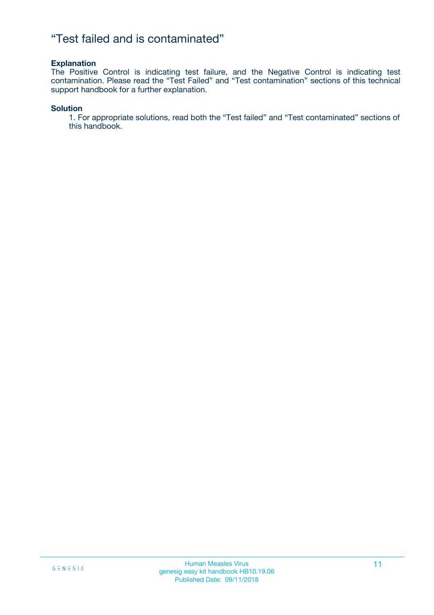### "Test failed and is contaminated"

#### **Explanation**

The Positive Control is indicating test failure, and the Negative Control is indicating test contamination. Please read the "Test Failed" and "Test contamination" sections of this technical support handbook for a further explanation.

#### **Solution**

1. For appropriate solutions, read both the "Test failed" and "Test contaminated" sections of this handbook.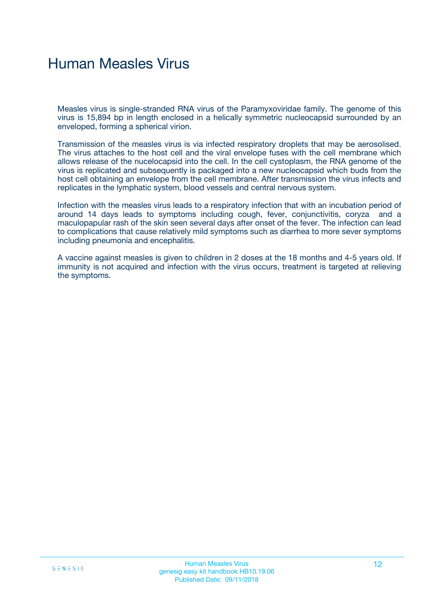## Human Measles Virus

Measles virus is single-stranded RNA virus of the Paramyxoviridae family. The genome of this virus is 15,894 bp in length enclosed in a helically symmetric nucleocapsid surrounded by an enveloped, forming a spherical virion.

Transmission of the measles virus is via infected respiratory droplets that may be aerosolised. The virus attaches to the host cell and the viral envelope fuses with the cell membrane which allows release of the nucelocapsid into the cell. In the cell cystoplasm, the RNA genome of the virus is replicated and subsequently is packaged into a new nucleocapsid which buds from the host cell obtaining an envelope from the cell membrane. After transmission the virus infects and replicates in the lymphatic system, blood vessels and central nervous system.

Infection with the measles virus leads to a respiratory infection that with an incubation period of around 14 days leads to symptoms including cough, fever, conjunctivitis, coryza and a maculopapular rash of the skin seen several days after onset of the fever. The infection can lead to complications that cause relatively mild symptoms such as diarrhea to more sever symptoms including pneumonia and encephalitis.

A vaccine against measles is given to children in 2 doses at the 18 months and 4-5 years old. If immunity is not acquired and infection with the virus occurs, treatment is targeted at relieving the symptoms.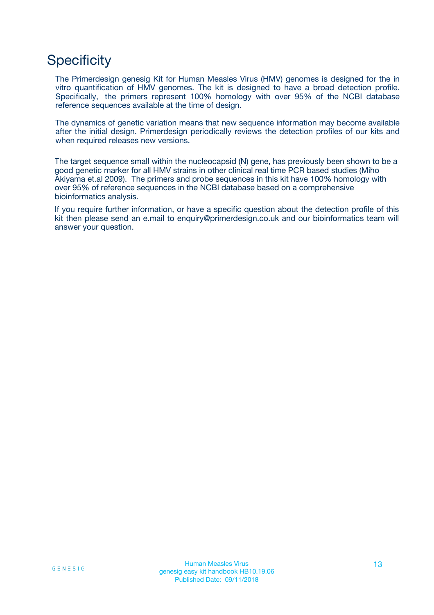## **Specificity**

The Primerdesign genesig Kit for Human Measles Virus (HMV) genomes is designed for the in vitro quantification of HMV genomes. The kit is designed to have a broad detection profile. Specifically, the primers represent 100% homology with over 95% of the NCBI database reference sequences available at the time of design.

The dynamics of genetic variation means that new sequence information may become available after the initial design. Primerdesign periodically reviews the detection profiles of our kits and when required releases new versions.

The target sequence small within the nucleocapsid (N) gene, has previously been shown to be a good genetic marker for all HMV strains in other clinical real time PCR based studies (Miho Akiyama et.al 2009). The primers and probe sequences in this kit have 100% homology with over 95% of reference sequences in the NCBI database based on a comprehensive bioinformatics analysis.

If you require further information, or have a specific question about the detection profile of this kit then please send an e.mail to enquiry@primerdesign.co.uk and our bioinformatics team will answer your question.